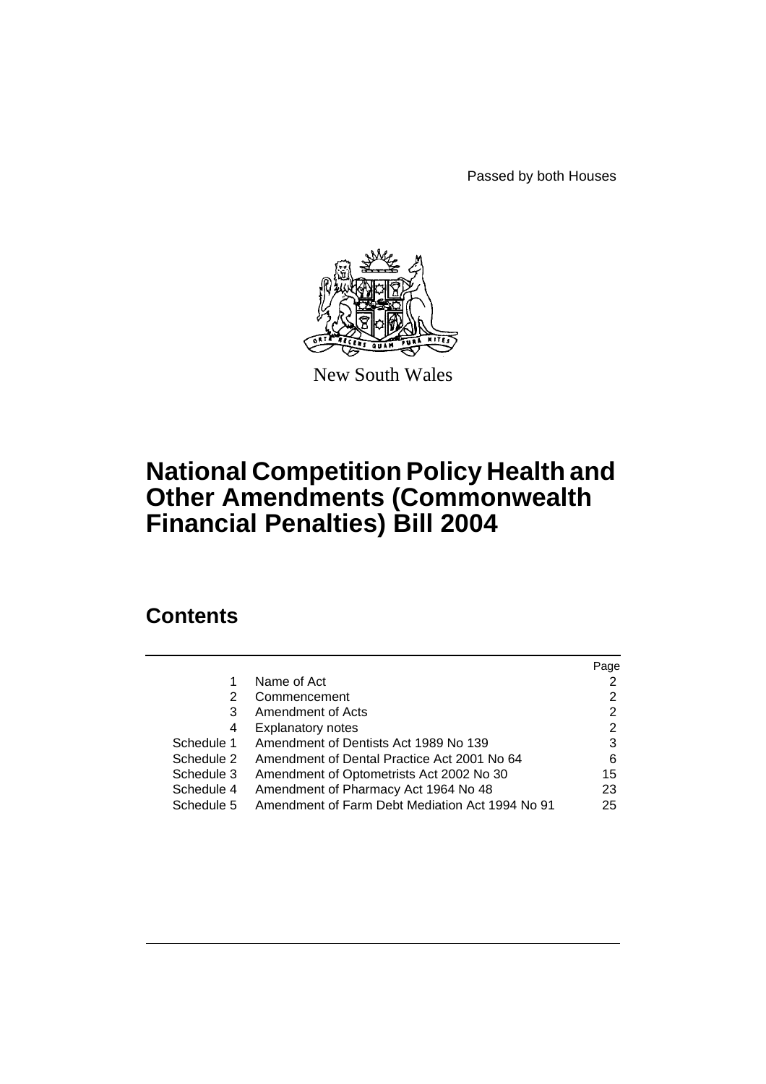Passed by both Houses



New South Wales

# **National Competition Policy Health and Other Amendments (Commonwealth Financial Penalties) Bill 2004**

# **Contents**

|            |                                                 | Page |
|------------|-------------------------------------------------|------|
| 1          | Name of Act                                     |      |
| 2          | Commencement                                    | 2    |
| 3          | Amendment of Acts                               | 2    |
| 4          | <b>Explanatory notes</b>                        | 2    |
| Schedule 1 | Amendment of Dentists Act 1989 No 139           | 3    |
| Schedule 2 | Amendment of Dental Practice Act 2001 No 64     | 6    |
| Schedule 3 | Amendment of Optometrists Act 2002 No 30        | 15   |
| Schedule 4 | Amendment of Pharmacy Act 1964 No 48            | 23   |
| Schedule 5 | Amendment of Farm Debt Mediation Act 1994 No 91 | 25   |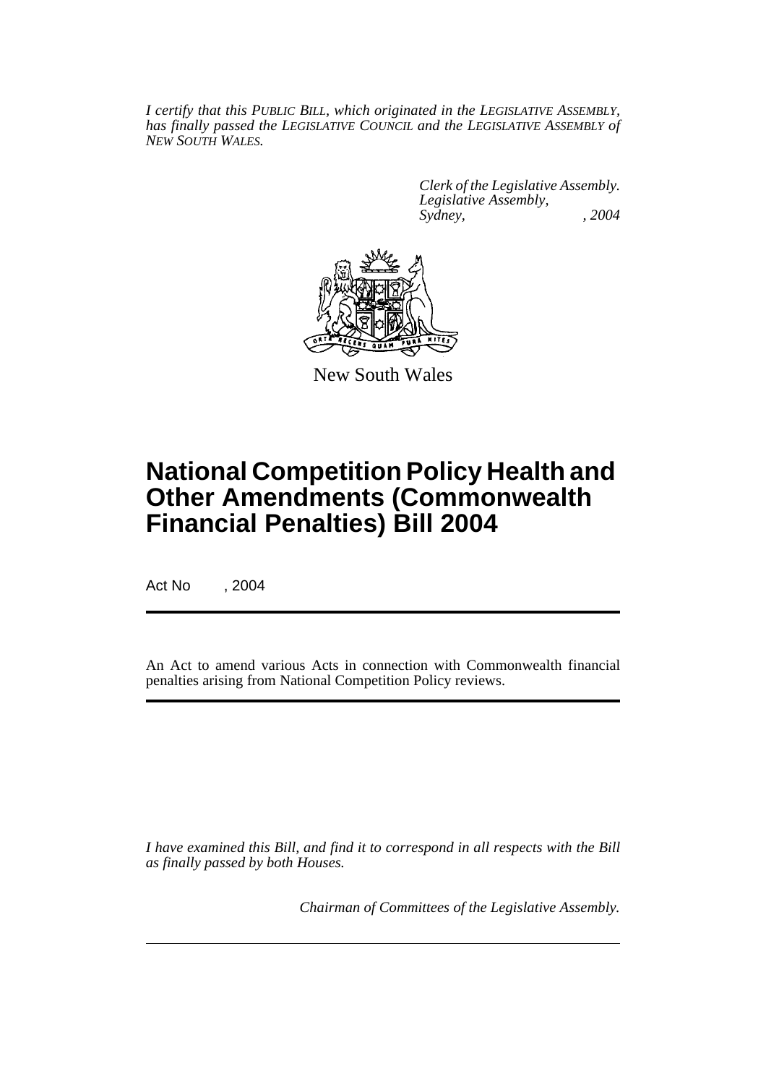*I certify that this PUBLIC BILL, which originated in the LEGISLATIVE ASSEMBLY, has finally passed the LEGISLATIVE COUNCIL and the LEGISLATIVE ASSEMBLY of NEW SOUTH WALES.*

> *Clerk of the Legislative Assembly. Legislative Assembly, Sydney, , 2004*



New South Wales

# **National Competition Policy Health and Other Amendments (Commonwealth Financial Penalties) Bill 2004**

Act No , 2004

An Act to amend various Acts in connection with Commonwealth financial penalties arising from National Competition Policy reviews.

*I have examined this Bill, and find it to correspond in all respects with the Bill as finally passed by both Houses.*

*Chairman of Committees of the Legislative Assembly.*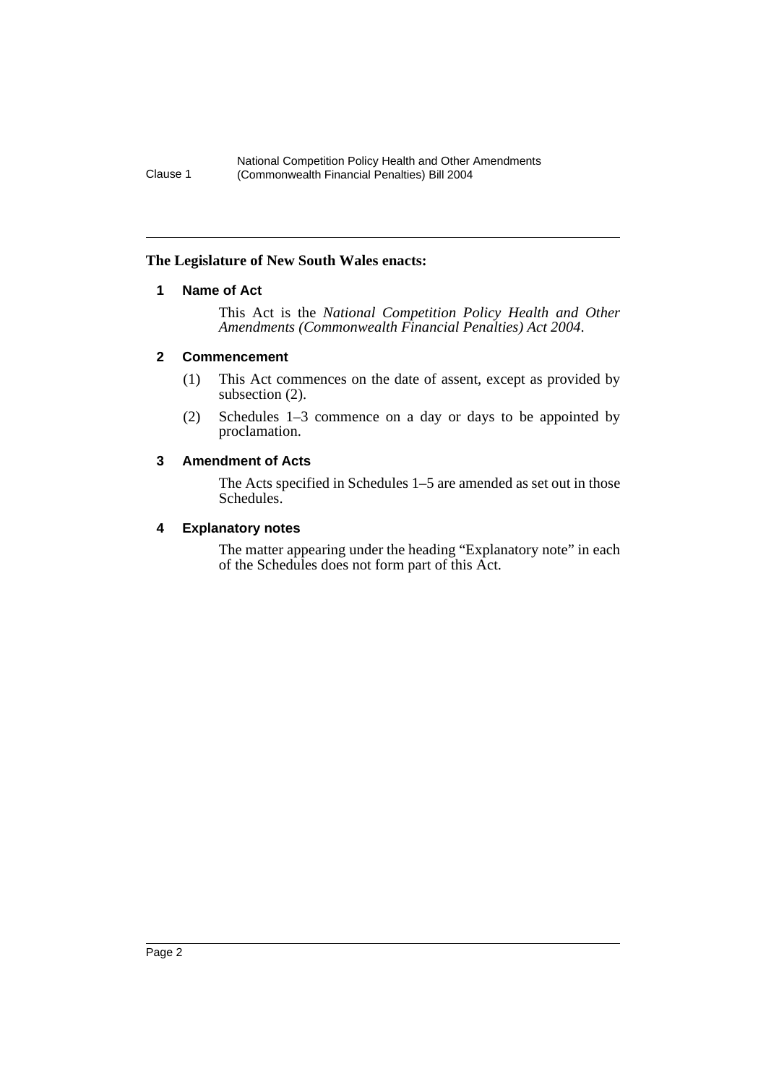## <span id="page-2-0"></span>**The Legislature of New South Wales enacts:**

## **1 Name of Act**

This Act is the *National Competition Policy Health and Other Amendments (Commonwealth Financial Penalties) Act 2004*.

## <span id="page-2-1"></span>**2 Commencement**

- (1) This Act commences on the date of assent, except as provided by subsection (2).
- (2) Schedules 1–3 commence on a day or days to be appointed by proclamation.

## <span id="page-2-2"></span>**3 Amendment of Acts**

The Acts specified in Schedules 1–5 are amended as set out in those Schedules.

## <span id="page-2-3"></span>**4 Explanatory notes**

The matter appearing under the heading "Explanatory note" in each of the Schedules does not form part of this Act.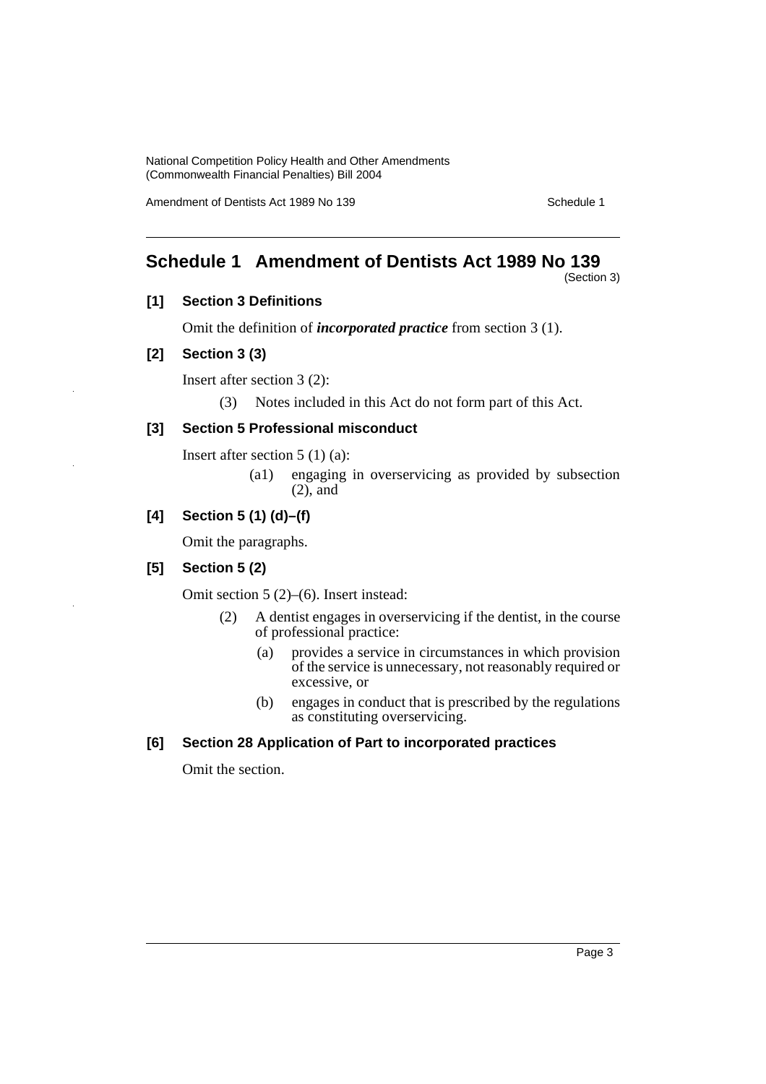Amendment of Dentists Act 1989 No 139 Schedule 1

# <span id="page-3-0"></span>**Schedule 1 Amendment of Dentists Act 1989 No 139**

(Section 3)

## **[1] Section 3 Definitions**

Omit the definition of *incorporated practice* from section 3 (1).

## **[2] Section 3 (3)**

Insert after section 3 (2):

(3) Notes included in this Act do not form part of this Act.

## **[3] Section 5 Professional misconduct**

Insert after section 5 (1) (a):

(a1) engaging in overservicing as provided by subsection (2), and

## **[4] Section 5 (1) (d)–(f)**

Omit the paragraphs.

## **[5] Section 5 (2)**

Omit section 5 (2)–(6). Insert instead:

- (2) A dentist engages in overservicing if the dentist, in the course of professional practice:
	- (a) provides a service in circumstances in which provision of the service is unnecessary, not reasonably required or excessive, or
	- (b) engages in conduct that is prescribed by the regulations as constituting overservicing.

## **[6] Section 28 Application of Part to incorporated practices**

Omit the section.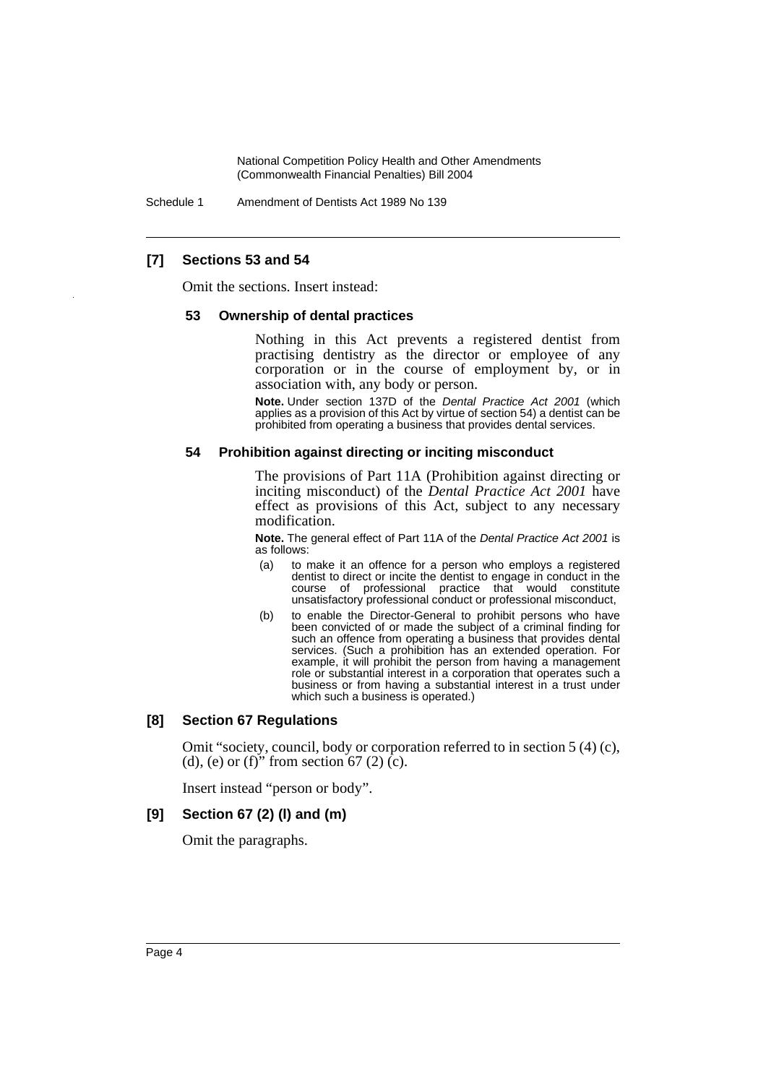Schedule 1 Amendment of Dentists Act 1989 No 139

## **[7] Sections 53 and 54**

Omit the sections. Insert instead:

#### **53 Ownership of dental practices**

Nothing in this Act prevents a registered dentist from practising dentistry as the director or employee of any corporation or in the course of employment by, or in association with, any body or person.

**Note.** Under section 137D of the *Dental Practice Act 2001* (which applies as a provision of this Act by virtue of section 54) a dentist can be prohibited from operating a business that provides dental services.

#### **54 Prohibition against directing or inciting misconduct**

The provisions of Part 11A (Prohibition against directing or inciting misconduct) of the *Dental Practice Act 2001* have effect as provisions of this Act, subject to any necessary modification.

**Note.** The general effect of Part 11A of the *Dental Practice Act 2001* is as follows:

- (a) to make it an offence for a person who employs a registered dentist to direct or incite the dentist to engage in conduct in the course of professional practice that would constitute unsatisfactory professional conduct or professional misconduct,
- (b) to enable the Director-General to prohibit persons who have been convicted of or made the subject of a criminal finding for such an offence from operating a business that provides dental services. (Such a prohibition has an extended operation. For example, it will prohibit the person from having a management role or substantial interest in a corporation that operates such a business or from having a substantial interest in a trust under which such a business is operated.)

#### **[8] Section 67 Regulations**

Omit "society, council, body or corporation referred to in section 5 (4) (c), (d), (e) or (f)" from section  $67(2)$  (c).

Insert instead "person or body".

#### **[9] Section 67 (2) (l) and (m)**

Omit the paragraphs.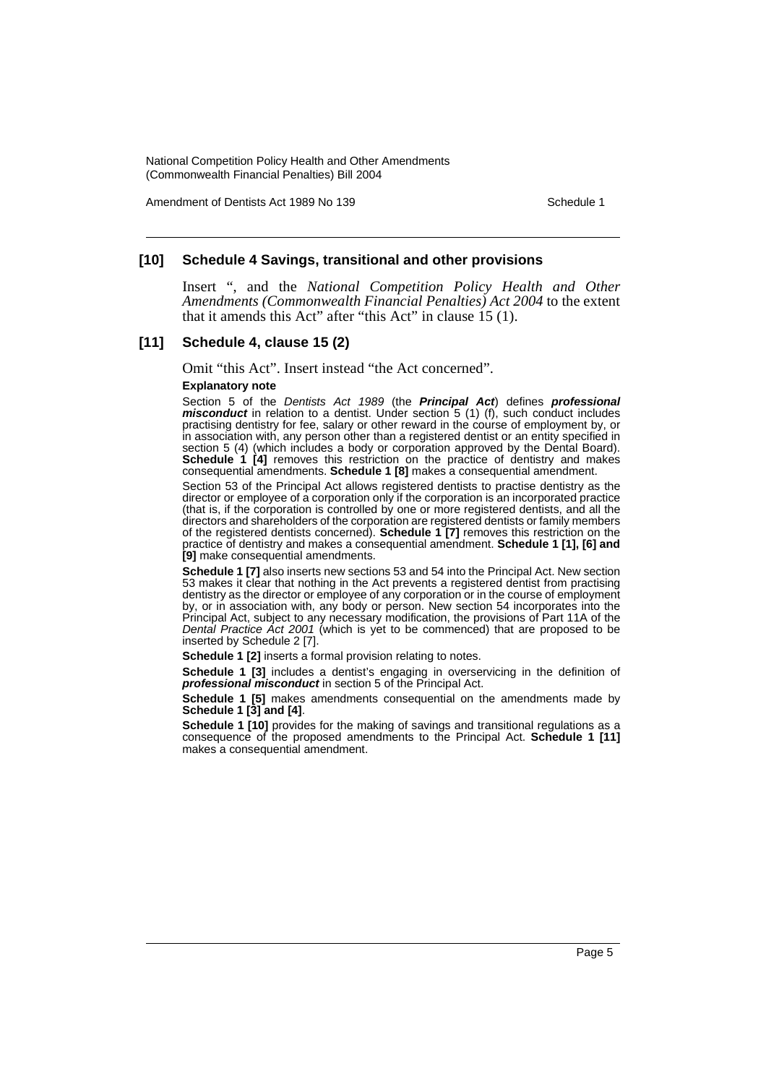Amendment of Dentists Act 1989 No 139 Schedule 1

## **[10] Schedule 4 Savings, transitional and other provisions**

Insert ", and the *National Competition Policy Health and Other Amendments (Commonwealth Financial Penalties) Act 2004* to the extent that it amends this Act" after "this Act" in clause 15 (1).

#### **[11] Schedule 4, clause 15 (2)**

Omit "this Act". Insert instead "the Act concerned".

#### **Explanatory note**

Section 5 of the *Dentists Act 1989* (the *Principal Act*) defines *professional misconduct* in relation to a dentist. Under section 5 (1) (f), such conduct includes practising dentistry for fee, salary or other reward in the course of employment by, or in association with, any person other than a registered dentist or an entity specified in section 5 (4) (which includes a body or corporation approved by the Dental Board). **Schedule 1 [4]** removes this restriction on the practice of dentistry and makes consequential amendments. **Schedule 1 [8]** makes a consequential amendment.

Section 53 of the Principal Act allows registered dentists to practise dentistry as the director or employee of a corporation only if the corporation is an incorporated practice (that is, if the corporation is controlled by one or more registered dentists, and all the directors and shareholders of the corporation are registered dentists or family members of the registered dentists concerned). **Schedule 1 [7]** removes this restriction on the practice of dentistry and makes a consequential amendment. **Schedule 1 [1], [6] and [9]** make consequential amendments.

**Schedule 1 [7]** also inserts new sections 53 and 54 into the Principal Act. New section 53 makes it clear that nothing in the Act prevents a registered dentist from practising dentistry as the director or employee of any corporation or in the course of employment by, or in association with, any body or person. New section 54 incorporates into the Principal Act, subject to any necessary modification, the provisions of Part 11A of the *Dental Practice Act 2001* (which is yet to be commenced) that are proposed to be inserted by Schedule 2 [7].

**Schedule 1 [2]** inserts a formal provision relating to notes.

**Schedule 1 [3]** includes a dentist's engaging in overservicing in the definition of *professional misconduct* in section 5 of the Principal Act.

**Schedule 1 [5]** makes amendments consequential on the amendments made by **Schedule 1 [3] and [4]**.

**Schedule 1 [10]** provides for the making of savings and transitional regulations as a consequence of the proposed amendments to the Principal Act. **Schedule 1 [11]** makes a consequential amendment.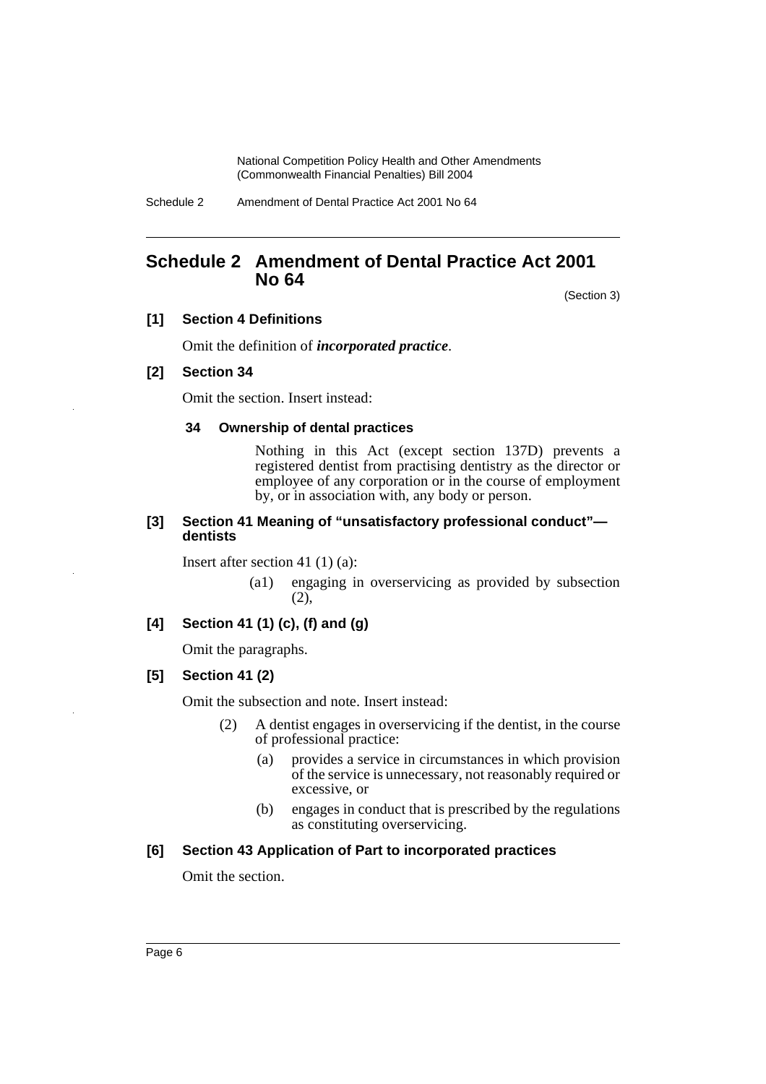Schedule 2 Amendment of Dental Practice Act 2001 No 64

# <span id="page-6-0"></span>**Schedule 2 Amendment of Dental Practice Act 2001 No 64**

(Section 3)

## **[1] Section 4 Definitions**

Omit the definition of *incorporated practice*.

## **[2] Section 34**

Omit the section. Insert instead:

## **34 Ownership of dental practices**

Nothing in this Act (except section 137D) prevents a registered dentist from practising dentistry as the director or employee of any corporation or in the course of employment by, or in association with, any body or person.

#### **[3] Section 41 Meaning of "unsatisfactory professional conduct" dentists**

Insert after section 41 (1) (a):

(a1) engaging in overservicing as provided by subsection (2),

## **[4] Section 41 (1) (c), (f) and (g)**

Omit the paragraphs.

## **[5] Section 41 (2)**

Omit the subsection and note. Insert instead:

- (2) A dentist engages in overservicing if the dentist, in the course of professional practice:
	- (a) provides a service in circumstances in which provision of the service is unnecessary, not reasonably required or excessive, or
	- (b) engages in conduct that is prescribed by the regulations as constituting overservicing.

## **[6] Section 43 Application of Part to incorporated practices**

Omit the section.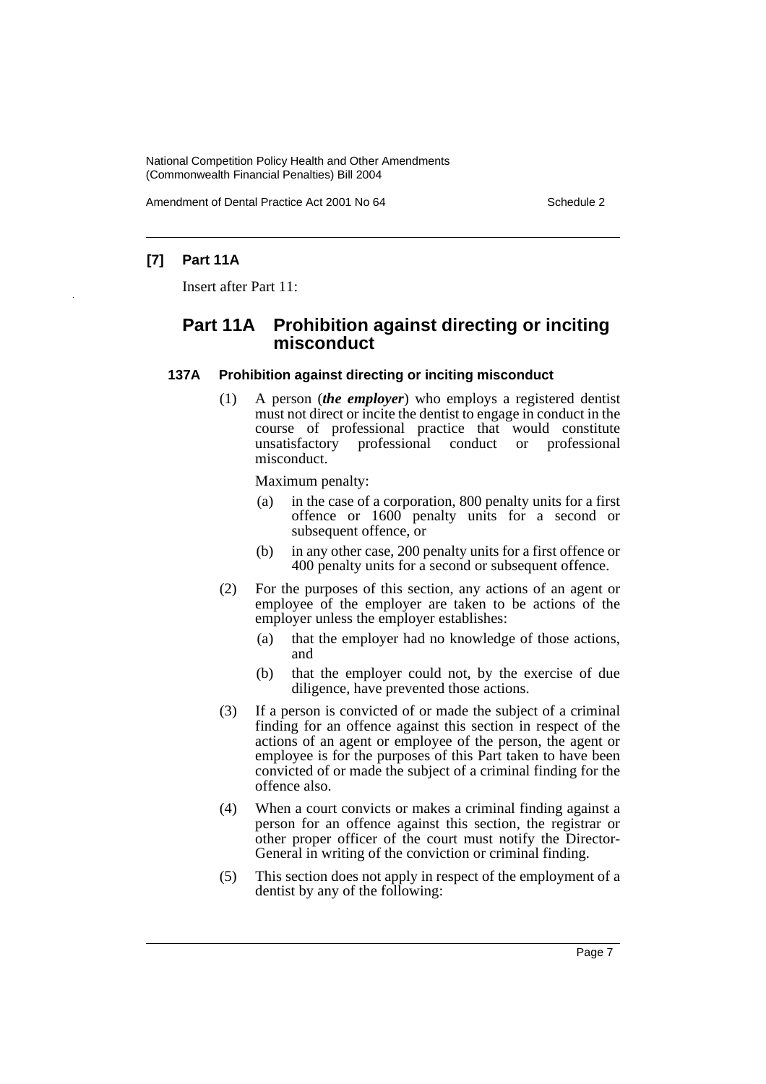Amendment of Dental Practice Act 2001 No 64 Schedule 2

## **[7] Part 11A**

Insert after Part 11:

# **Part 11A Prohibition against directing or inciting misconduct**

#### **137A Prohibition against directing or inciting misconduct**

(1) A person (*the employer*) who employs a registered dentist must not direct or incite the dentist to engage in conduct in the course of professional practice that would constitute unsatisfactory professional conduct or professional misconduct.

Maximum penalty:

- (a) in the case of a corporation, 800 penalty units for a first offence or 1600 penalty units for a second or subsequent offence, or
- (b) in any other case, 200 penalty units for a first offence or 400 penalty units for a second or subsequent offence.
- (2) For the purposes of this section, any actions of an agent or employee of the employer are taken to be actions of the employer unless the employer establishes:
	- (a) that the employer had no knowledge of those actions, and
	- (b) that the employer could not, by the exercise of due diligence, have prevented those actions.
- (3) If a person is convicted of or made the subject of a criminal finding for an offence against this section in respect of the actions of an agent or employee of the person, the agent or employee is for the purposes of this Part taken to have been convicted of or made the subject of a criminal finding for the offence also.
- (4) When a court convicts or makes a criminal finding against a person for an offence against this section, the registrar or other proper officer of the court must notify the Director-General in writing of the conviction or criminal finding.
- (5) This section does not apply in respect of the employment of a dentist by any of the following: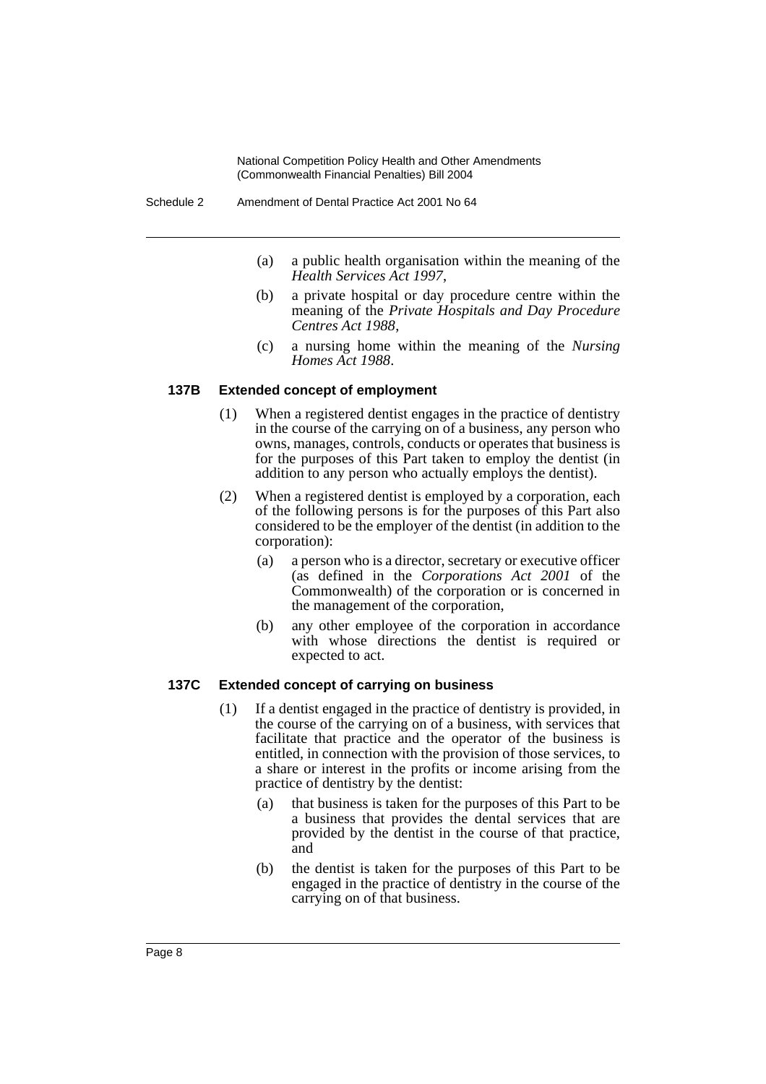- (a) a public health organisation within the meaning of the *Health Services Act 1997*,
- (b) a private hospital or day procedure centre within the meaning of the *Private Hospitals and Day Procedure Centres Act 1988*,
- (c) a nursing home within the meaning of the *Nursing Homes Act 1988*.

#### **137B Extended concept of employment**

- (1) When a registered dentist engages in the practice of dentistry in the course of the carrying on of a business, any person who owns, manages, controls, conducts or operates that business is for the purposes of this Part taken to employ the dentist (in addition to any person who actually employs the dentist).
- (2) When a registered dentist is employed by a corporation, each of the following persons is for the purposes of this Part also considered to be the employer of the dentist (in addition to the corporation):
	- (a) a person who is a director, secretary or executive officer (as defined in the *Corporations Act 2001* of the Commonwealth) of the corporation or is concerned in the management of the corporation,
	- (b) any other employee of the corporation in accordance with whose directions the dentist is required or expected to act.

#### **137C Extended concept of carrying on business**

- (1) If a dentist engaged in the practice of dentistry is provided, in the course of the carrying on of a business, with services that facilitate that practice and the operator of the business is entitled, in connection with the provision of those services, to a share or interest in the profits or income arising from the practice of dentistry by the dentist:
	- (a) that business is taken for the purposes of this Part to be a business that provides the dental services that are provided by the dentist in the course of that practice, and
	- (b) the dentist is taken for the purposes of this Part to be engaged in the practice of dentistry in the course of the carrying on of that business.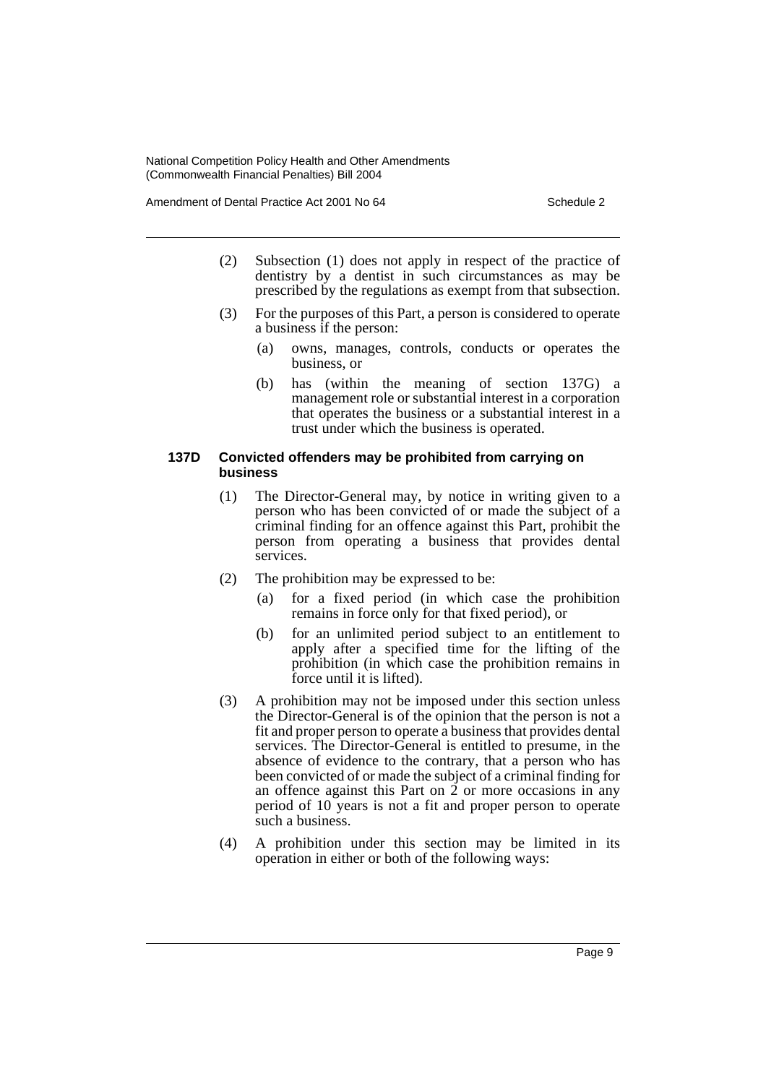Amendment of Dental Practice Act 2001 No 64 Schedule 2

- (2) Subsection (1) does not apply in respect of the practice of dentistry by a dentist in such circumstances as may be prescribed by the regulations as exempt from that subsection.
- (3) For the purposes of this Part, a person is considered to operate a business if the person:
	- (a) owns, manages, controls, conducts or operates the business, or
	- (b) has (within the meaning of section 137G) a management role or substantial interest in a corporation that operates the business or a substantial interest in a trust under which the business is operated.

## **137D Convicted offenders may be prohibited from carrying on business**

- (1) The Director-General may, by notice in writing given to a person who has been convicted of or made the subject of a criminal finding for an offence against this Part, prohibit the person from operating a business that provides dental services.
- (2) The prohibition may be expressed to be:
	- (a) for a fixed period (in which case the prohibition remains in force only for that fixed period), or
	- (b) for an unlimited period subject to an entitlement to apply after a specified time for the lifting of the prohibition (in which case the prohibition remains in force until it is lifted).
- (3) A prohibition may not be imposed under this section unless the Director-General is of the opinion that the person is not a fit and proper person to operate a business that provides dental services. The Director-General is entitled to presume, in the absence of evidence to the contrary, that a person who has been convicted of or made the subject of a criminal finding for an offence against this Part on 2 or more occasions in any period of 10 years is not a fit and proper person to operate such a business.
- (4) A prohibition under this section may be limited in its operation in either or both of the following ways: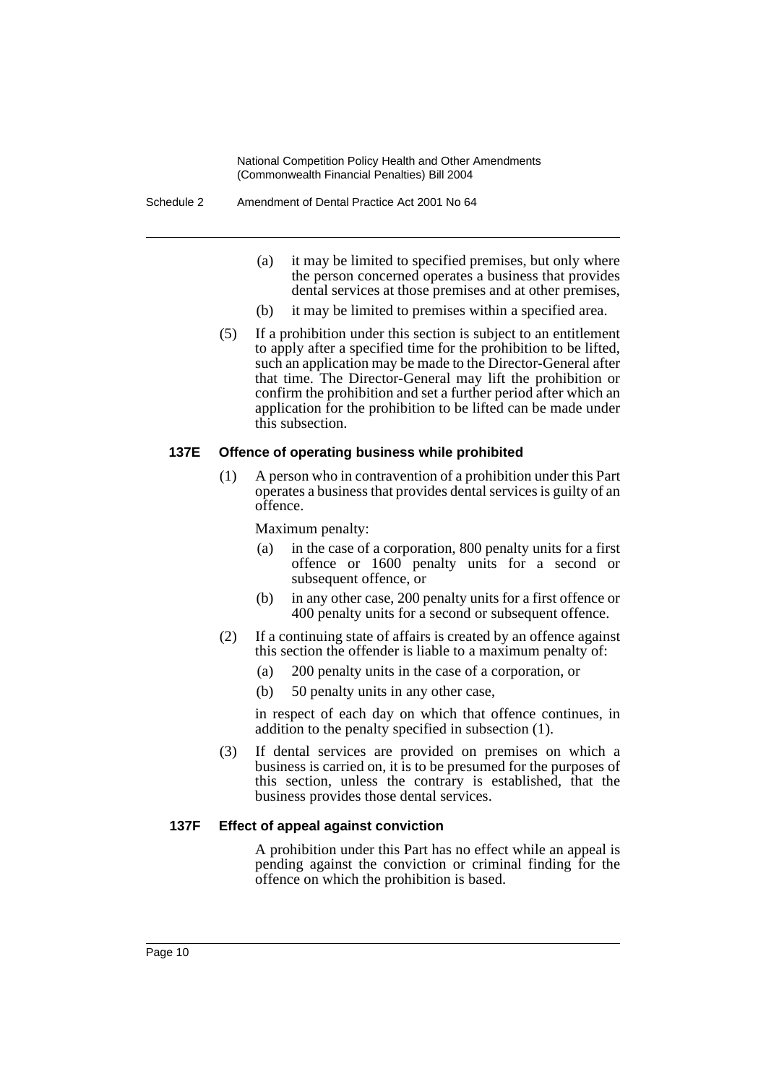- (a) it may be limited to specified premises, but only where the person concerned operates a business that provides dental services at those premises and at other premises,
- (b) it may be limited to premises within a specified area.
- (5) If a prohibition under this section is subject to an entitlement to apply after a specified time for the prohibition to be lifted, such an application may be made to the Director-General after that time. The Director-General may lift the prohibition or confirm the prohibition and set a further period after which an application for the prohibition to be lifted can be made under this subsection.

## **137E Offence of operating business while prohibited**

(1) A person who in contravention of a prohibition under this Part operates a business that provides dental services is guilty of an offence.

Maximum penalty:

- (a) in the case of a corporation, 800 penalty units for a first offence or 1600 penalty units for a second or subsequent offence, or
- (b) in any other case, 200 penalty units for a first offence or 400 penalty units for a second or subsequent offence.
- (2) If a continuing state of affairs is created by an offence against this section the offender is liable to a maximum penalty of:
	- (a) 200 penalty units in the case of a corporation, or
	- (b) 50 penalty units in any other case,

in respect of each day on which that offence continues, in addition to the penalty specified in subsection (1).

(3) If dental services are provided on premises on which a business is carried on, it is to be presumed for the purposes of this section, unless the contrary is established, that the business provides those dental services.

#### **137F Effect of appeal against conviction**

A prohibition under this Part has no effect while an appeal is pending against the conviction or criminal finding for the offence on which the prohibition is based.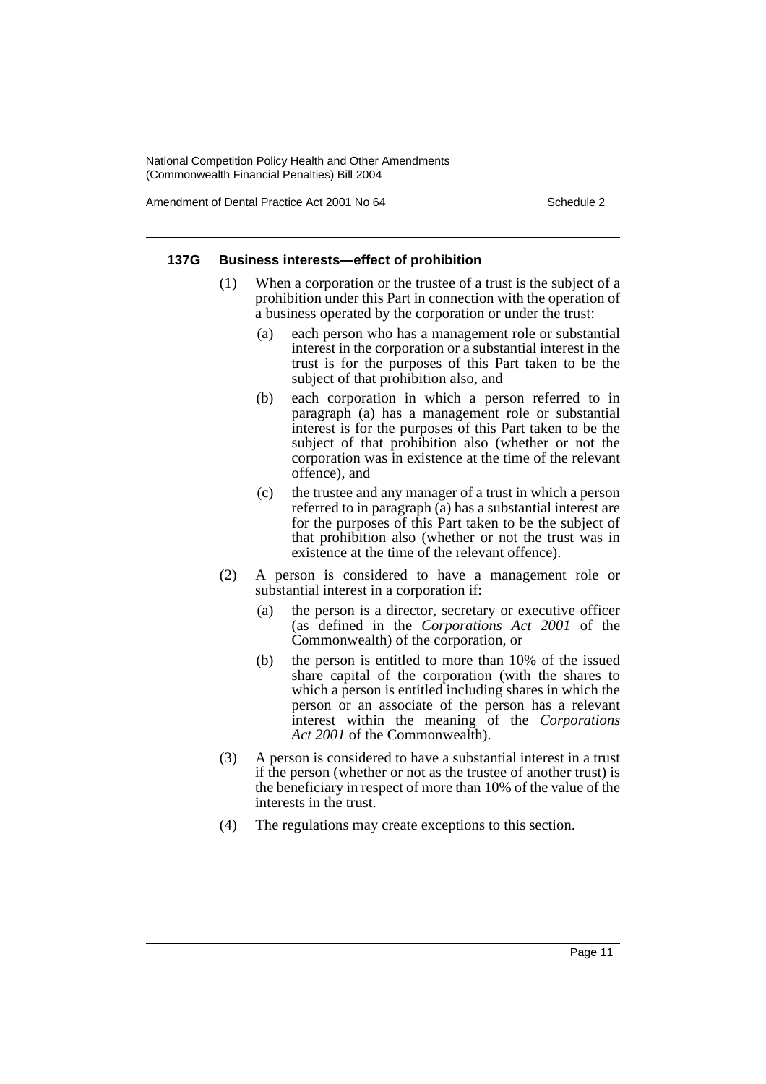Amendment of Dental Practice Act 2001 No 64 Schedule 2

#### **137G Business interests—effect of prohibition**

- (1) When a corporation or the trustee of a trust is the subject of a prohibition under this Part in connection with the operation of a business operated by the corporation or under the trust:
	- (a) each person who has a management role or substantial interest in the corporation or a substantial interest in the trust is for the purposes of this Part taken to be the subject of that prohibition also, and
	- (b) each corporation in which a person referred to in paragraph (a) has a management role or substantial interest is for the purposes of this Part taken to be the subject of that prohibition also (whether or not the corporation was in existence at the time of the relevant offence), and
	- (c) the trustee and any manager of a trust in which a person referred to in paragraph (a) has a substantial interest are for the purposes of this Part taken to be the subject of that prohibition also (whether or not the trust was in existence at the time of the relevant offence).
- (2) A person is considered to have a management role or substantial interest in a corporation if:
	- (a) the person is a director, secretary or executive officer (as defined in the *Corporations Act 2001* of the Commonwealth) of the corporation, or
	- (b) the person is entitled to more than 10% of the issued share capital of the corporation (with the shares to which a person is entitled including shares in which the person or an associate of the person has a relevant interest within the meaning of the *Corporations Act 2001* of the Commonwealth).
- (3) A person is considered to have a substantial interest in a trust if the person (whether or not as the trustee of another trust) is the beneficiary in respect of more than 10% of the value of the interests in the trust.
- (4) The regulations may create exceptions to this section.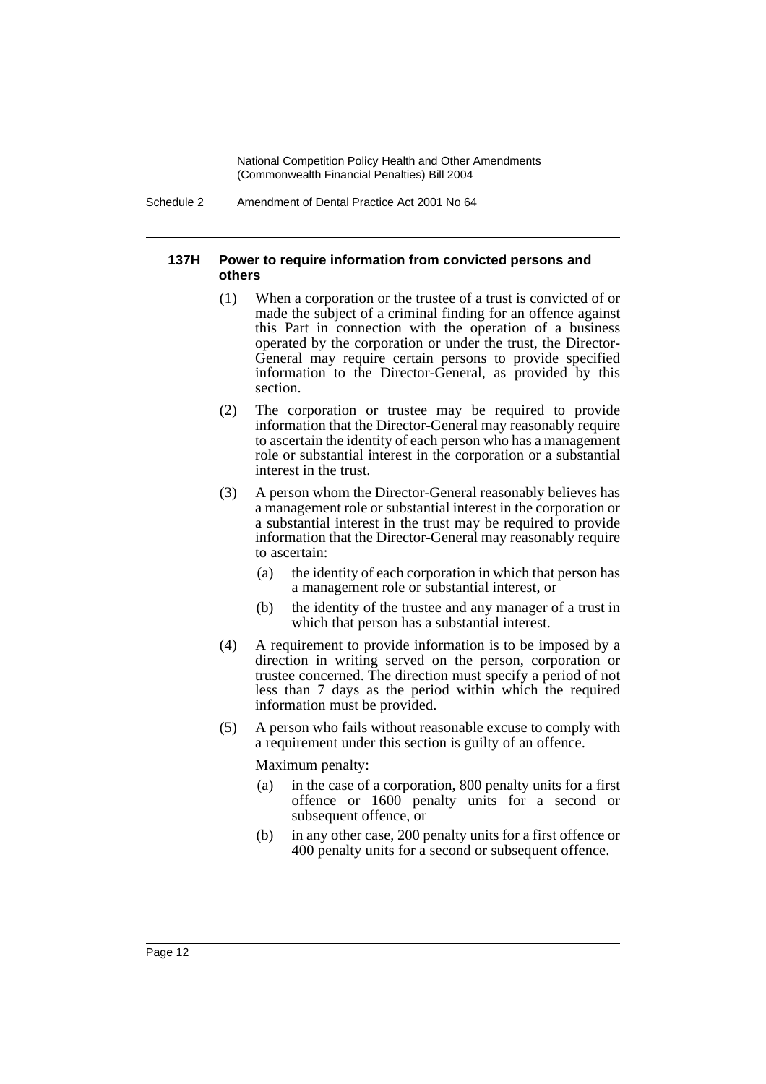Schedule 2 Amendment of Dental Practice Act 2001 No 64

#### **137H Power to require information from convicted persons and others**

- (1) When a corporation or the trustee of a trust is convicted of or made the subject of a criminal finding for an offence against this Part in connection with the operation of a business operated by the corporation or under the trust, the Director-General may require certain persons to provide specified information to the Director-General, as provided by this section.
- (2) The corporation or trustee may be required to provide information that the Director-General may reasonably require to ascertain the identity of each person who has a management role or substantial interest in the corporation or a substantial interest in the trust.
- (3) A person whom the Director-General reasonably believes has a management role or substantial interest in the corporation or a substantial interest in the trust may be required to provide information that the Director-General may reasonably require to ascertain:
	- (a) the identity of each corporation in which that person has a management role or substantial interest, or
	- (b) the identity of the trustee and any manager of a trust in which that person has a substantial interest.
- (4) A requirement to provide information is to be imposed by a direction in writing served on the person, corporation or trustee concerned. The direction must specify a period of not less than 7 days as the period within which the required information must be provided.
- (5) A person who fails without reasonable excuse to comply with a requirement under this section is guilty of an offence.

Maximum penalty:

- (a) in the case of a corporation, 800 penalty units for a first offence or 1600 penalty units for a second or subsequent offence, or
- (b) in any other case, 200 penalty units for a first offence or 400 penalty units for a second or subsequent offence.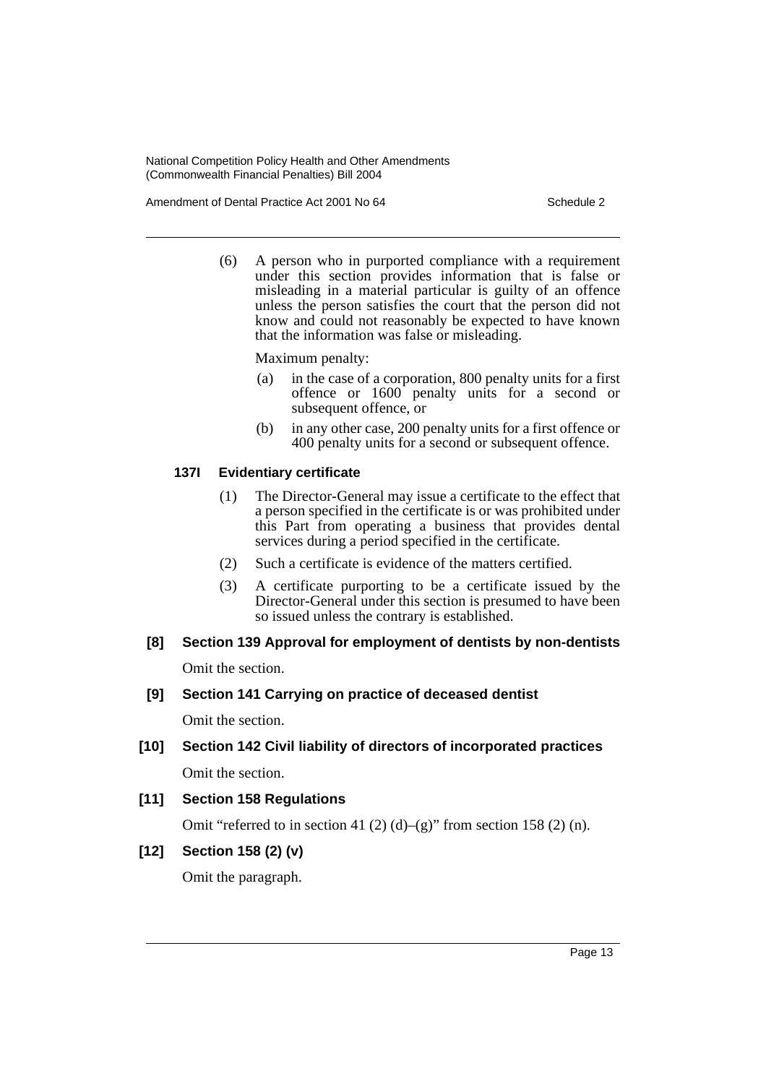Amendment of Dental Practice Act 2001 No 64 Schedule 2

(6) A person who in purported compliance with a requirement under this section provides information that is false or misleading in a material particular is guilty of an offence unless the person satisfies the court that the person did not know and could not reasonably be expected to have known that the information was false or misleading.

Maximum penalty:

- (a) in the case of a corporation, 800 penalty units for a first offence or 1600 penalty units for a second or subsequent offence, or
- (b) in any other case, 200 penalty units for a first offence or 400 penalty units for a second or subsequent offence.

## **137I Evidentiary certificate**

- (1) The Director-General may issue a certificate to the effect that a person specified in the certificate is or was prohibited under this Part from operating a business that provides dental services during a period specified in the certificate.
- (2) Such a certificate is evidence of the matters certified.
- (3) A certificate purporting to be a certificate issued by the Director-General under this section is presumed to have been so issued unless the contrary is established.
- **[8] Section 139 Approval for employment of dentists by non-dentists**

Omit the section.

**[9] Section 141 Carrying on practice of deceased dentist**

Omit the section.

**[10] Section 142 Civil liability of directors of incorporated practices** Omit the section.

## **[11] Section 158 Regulations**

Omit "referred to in section 41 (2) (d)–(g)" from section 158 (2) (n).

## **[12] Section 158 (2) (v)**

Omit the paragraph.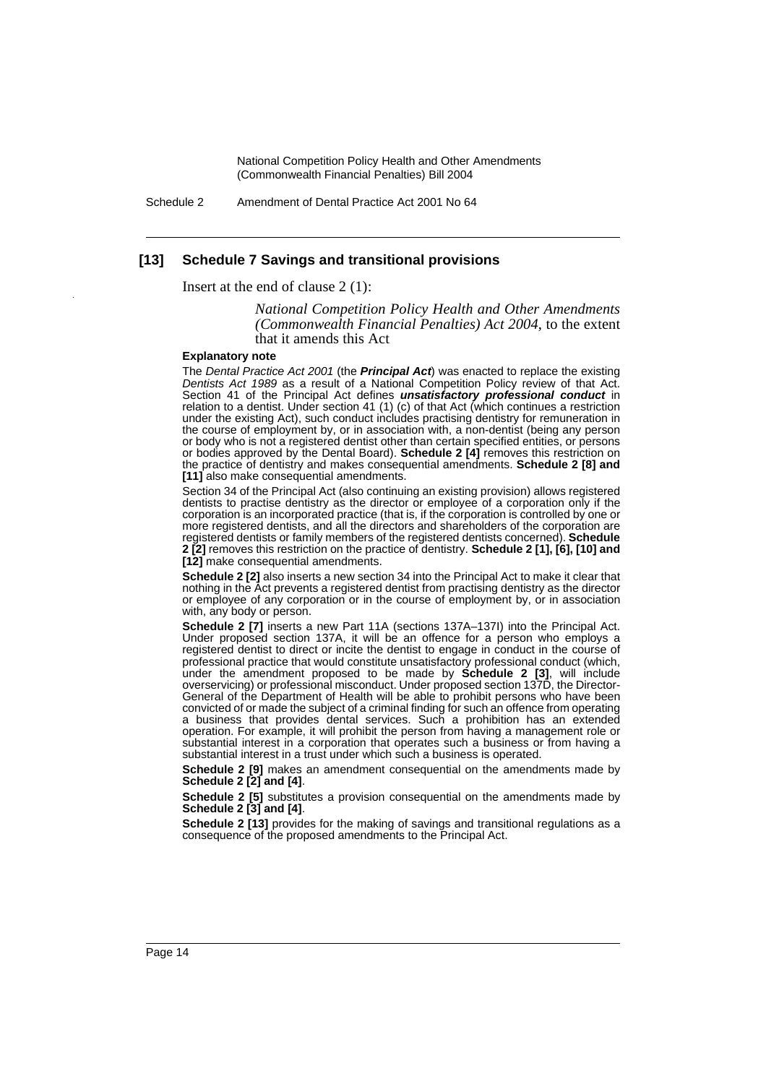Schedule 2 Amendment of Dental Practice Act 2001 No 64

#### **[13] Schedule 7 Savings and transitional provisions**

Insert at the end of clause 2 (1):

*National Competition Policy Health and Other Amendments (Commonwealth Financial Penalties) Act 2004*, to the extent that it amends this Act

#### **Explanatory note**

The *Dental Practice Act 2001* (the *Principal Act*) was enacted to replace the existing *Dentists Act 1989* as a result of a National Competition Policy review of that Act. Section 41 of the Principal Act defines *unsatisfactory professional conduct* in relation to a dentist. Under section 41 (1) (c) of that Act (which continues a restriction under the existing Act), such conduct includes practising dentistry for remuneration in the course of employment by, or in association with, a non-dentist (being any person or body who is not a registered dentist other than certain specified entities, or persons or bodies approved by the Dental Board). **Schedule 2 [4]** removes this restriction on the practice of dentistry and makes consequential amendments. **Schedule 2 [8] and [11]** also make consequential amendments.

Section 34 of the Principal Act (also continuing an existing provision) allows registered dentists to practise dentistry as the director or employee of a corporation only if the corporation is an incorporated practice (that is, if the corporation is controlled by one or more registered dentists, and all the directors and shareholders of the corporation are registered dentists or family members of the registered dentists concerned). **Schedule 2 [2]** removes this restriction on the practice of dentistry. **Schedule 2 [1], [6], [10] and [12]** make consequential amendments.

**Schedule 2 [2]** also inserts a new section 34 into the Principal Act to make it clear that nothing in the Act prevents a registered dentist from practising dentistry as the director or employee of any corporation or in the course of employment by, or in association with, any body or person.

**Schedule 2 [7]** inserts a new Part 11A (sections 137A-137I) into the Principal Act. Under proposed section 137A, it will be an offence for a person who employs a registered dentist to direct or incite the dentist to engage in conduct in the course of professional practice that would constitute unsatisfactory professional conduct (which, under the amendment proposed to be made by **Schedule 2 [3]**, will include overservicing) or professional misconduct. Under proposed section 137D, the Director-General of the Department of Health will be able to prohibit persons who have been convicted of or made the subject of a criminal finding for such an offence from operating a business that provides dental services. Such a prohibition has an extended operation. For example, it will prohibit the person from having a management role or substantial interest in a corporation that operates such a business or from having a substantial interest in a trust under which such a business is operated.

**Schedule 2 [9]** makes an amendment consequential on the amendments made by **Schedule 2 [2] and [4]**.

**Schedule 2 [5]** substitutes a provision consequential on the amendments made by **Schedule 2 [3] and [4]**.

**Schedule 2 [13]** provides for the making of savings and transitional regulations as a consequence of the proposed amendments to the Principal Act.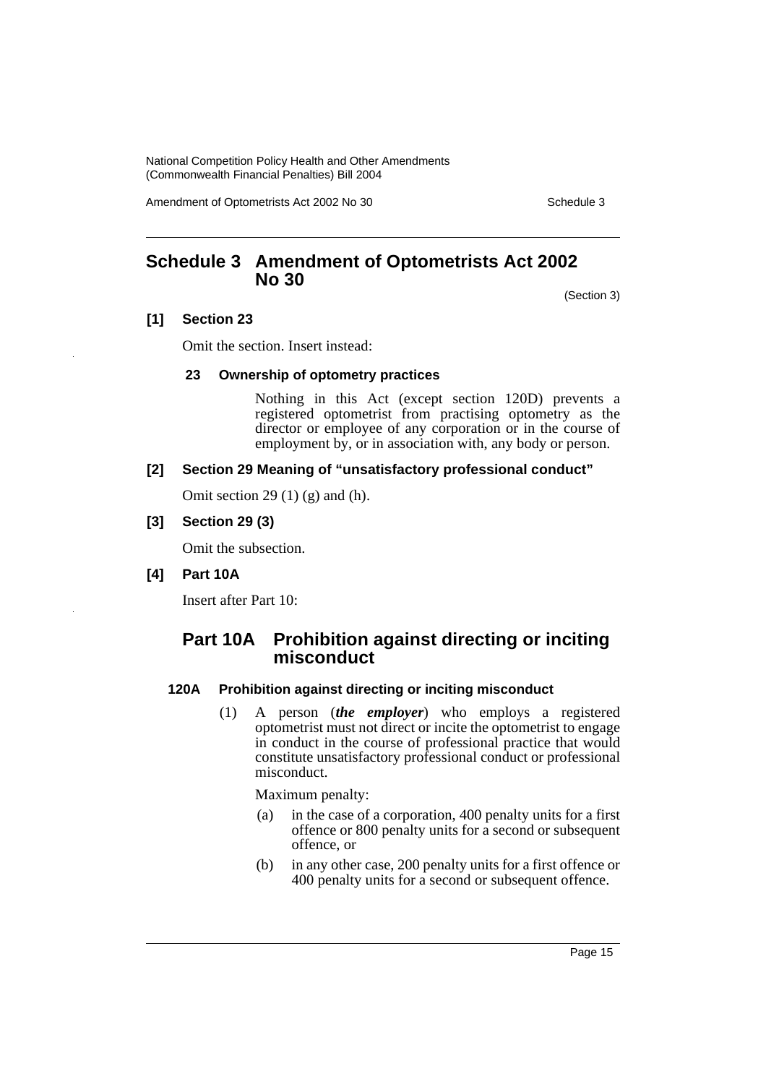Amendment of Optometrists Act 2002 No 30 Schedule 3

# <span id="page-15-0"></span>**Schedule 3 Amendment of Optometrists Act 2002 No 30**

(Section 3)

## **[1] Section 23**

Omit the section. Insert instead:

## **23 Ownership of optometry practices**

Nothing in this Act (except section 120D) prevents a registered optometrist from practising optometry as the director or employee of any corporation or in the course of employment by, or in association with, any body or person.

## **[2] Section 29 Meaning of "unsatisfactory professional conduct"**

Omit section 29 $(1)$  $(g)$  and  $(h)$ .

## **[3] Section 29 (3)**

Omit the subsection.

#### **[4] Part 10A**

Insert after Part 10:

## **Part 10A Prohibition against directing or inciting misconduct**

## **120A Prohibition against directing or inciting misconduct**

(1) A person (*the employer*) who employs a registered optometrist must not direct or incite the optometrist to engage in conduct in the course of professional practice that would constitute unsatisfactory professional conduct or professional misconduct.

Maximum penalty:

- (a) in the case of a corporation, 400 penalty units for a first offence or 800 penalty units for a second or subsequent offence, or
- (b) in any other case, 200 penalty units for a first offence or 400 penalty units for a second or subsequent offence.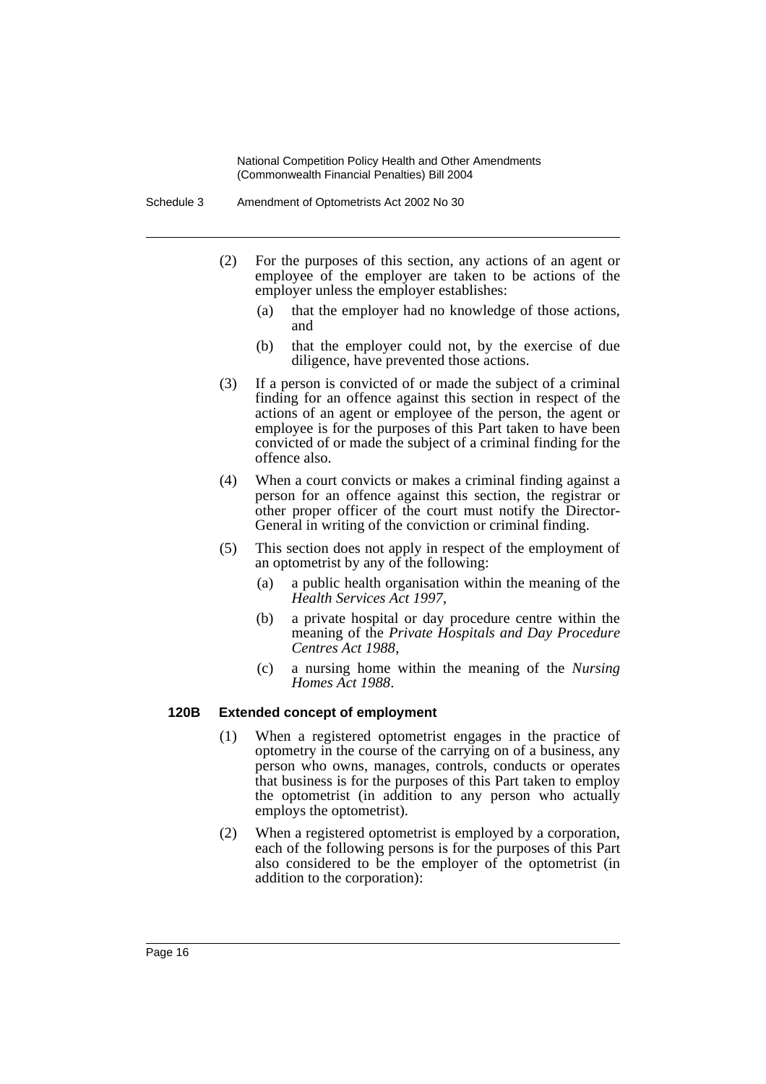- (2) For the purposes of this section, any actions of an agent or employee of the employer are taken to be actions of the employer unless the employer establishes:
	- (a) that the employer had no knowledge of those actions, and
	- (b) that the employer could not, by the exercise of due diligence, have prevented those actions.
- (3) If a person is convicted of or made the subject of a criminal finding for an offence against this section in respect of the actions of an agent or employee of the person, the agent or employee is for the purposes of this Part taken to have been convicted of or made the subject of a criminal finding for the offence also.
- (4) When a court convicts or makes a criminal finding against a person for an offence against this section, the registrar or other proper officer of the court must notify the Director-General in writing of the conviction or criminal finding.
- (5) This section does not apply in respect of the employment of an optometrist by any of the following:
	- (a) a public health organisation within the meaning of the *Health Services Act 1997*,
	- (b) a private hospital or day procedure centre within the meaning of the *Private Hospitals and Day Procedure Centres Act 1988*,
	- (c) a nursing home within the meaning of the *Nursing Homes Act 1988*.

#### **120B Extended concept of employment**

- (1) When a registered optometrist engages in the practice of optometry in the course of the carrying on of a business, any person who owns, manages, controls, conducts or operates that business is for the purposes of this Part taken to employ the optometrist (in addition to any person who actually employs the optometrist).
- (2) When a registered optometrist is employed by a corporation, each of the following persons is for the purposes of this Part also considered to be the employer of the optometrist (in addition to the corporation):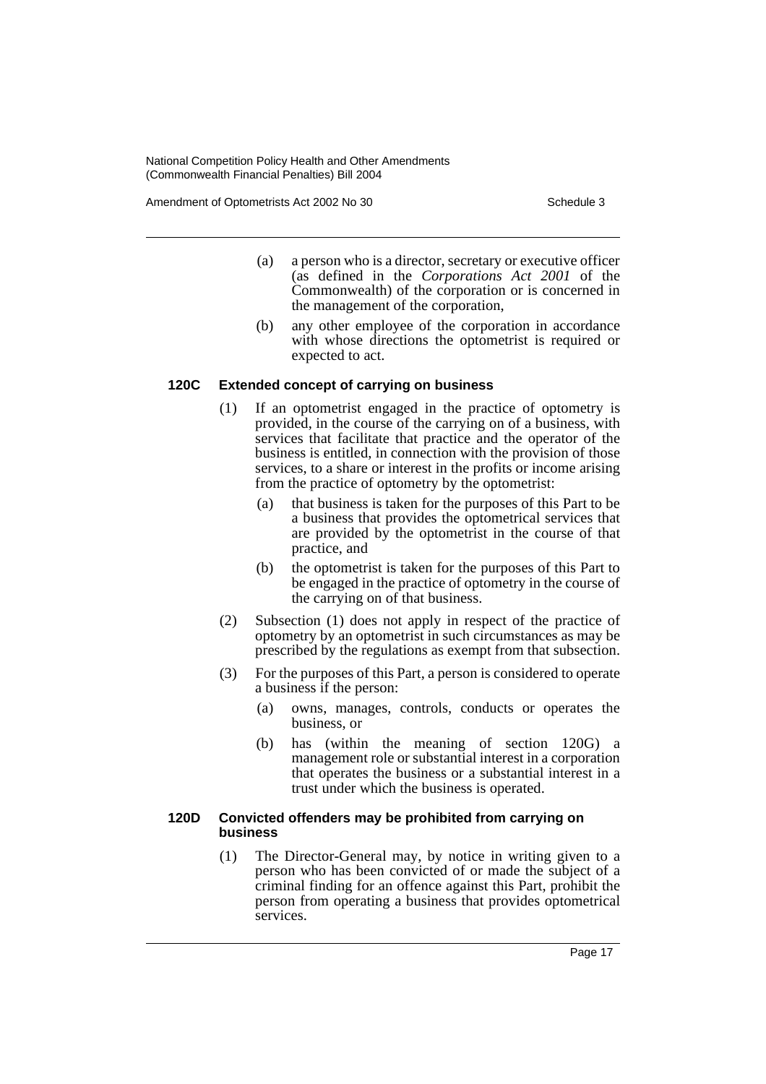Amendment of Optometrists Act 2002 No 30 Schedule 3

- (a) a person who is a director, secretary or executive officer (as defined in the *Corporations Act 2001* of the Commonwealth) of the corporation or is concerned in the management of the corporation,
- (b) any other employee of the corporation in accordance with whose directions the optometrist is required or expected to act.

## **120C Extended concept of carrying on business**

- (1) If an optometrist engaged in the practice of optometry is provided, in the course of the carrying on of a business, with services that facilitate that practice and the operator of the business is entitled, in connection with the provision of those services, to a share or interest in the profits or income arising from the practice of optometry by the optometrist:
	- (a) that business is taken for the purposes of this Part to be a business that provides the optometrical services that are provided by the optometrist in the course of that practice, and
	- (b) the optometrist is taken for the purposes of this Part to be engaged in the practice of optometry in the course of the carrying on of that business.
- (2) Subsection (1) does not apply in respect of the practice of optometry by an optometrist in such circumstances as may be prescribed by the regulations as exempt from that subsection.
- (3) For the purposes of this Part, a person is considered to operate a business if the person:
	- (a) owns, manages, controls, conducts or operates the business, or
	- (b) has (within the meaning of section 120G) a management role or substantial interest in a corporation that operates the business or a substantial interest in a trust under which the business is operated.

## **120D Convicted offenders may be prohibited from carrying on business**

(1) The Director-General may, by notice in writing given to a person who has been convicted of or made the subject of a criminal finding for an offence against this Part, prohibit the person from operating a business that provides optometrical services.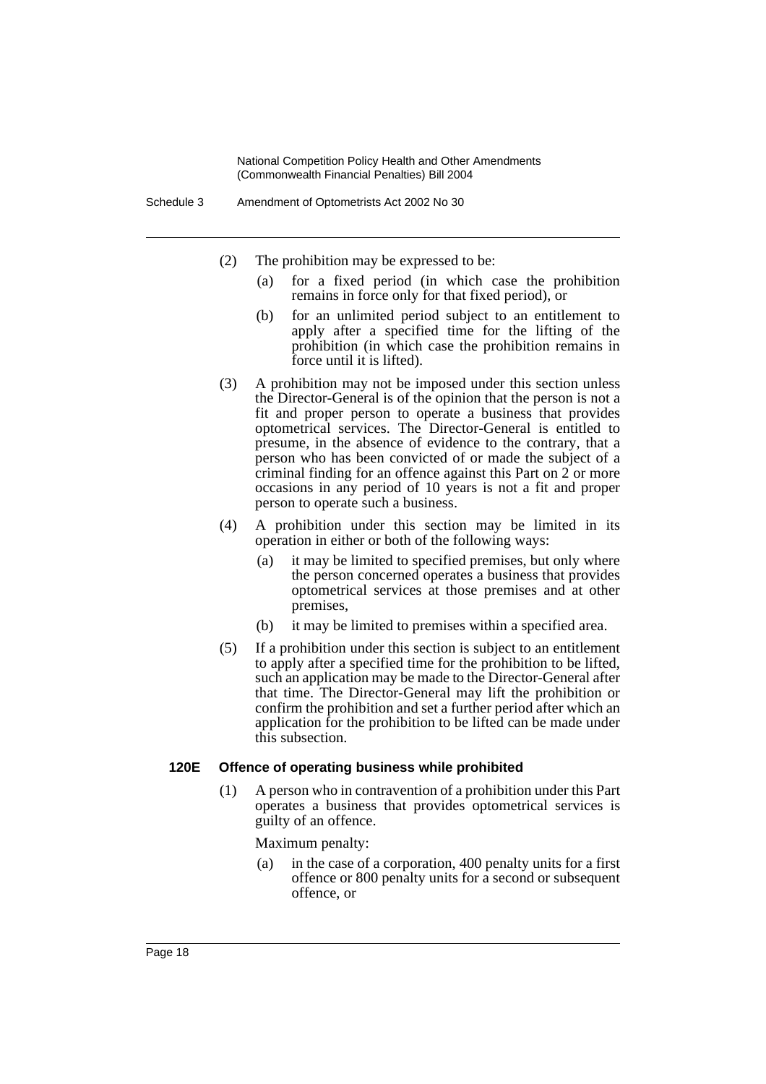- (2) The prohibition may be expressed to be:
	- (a) for a fixed period (in which case the prohibition remains in force only for that fixed period), or
	- (b) for an unlimited period subject to an entitlement to apply after a specified time for the lifting of the prohibition (in which case the prohibition remains in force until it is lifted).
- (3) A prohibition may not be imposed under this section unless the Director-General is of the opinion that the person is not a fit and proper person to operate a business that provides optometrical services. The Director-General is entitled to presume, in the absence of evidence to the contrary, that a person who has been convicted of or made the subject of a criminal finding for an offence against this Part on 2 or more occasions in any period of 10 years is not a fit and proper person to operate such a business.
- (4) A prohibition under this section may be limited in its operation in either or both of the following ways:
	- (a) it may be limited to specified premises, but only where the person concerned operates a business that provides optometrical services at those premises and at other premises,
	- (b) it may be limited to premises within a specified area.
- (5) If a prohibition under this section is subject to an entitlement to apply after a specified time for the prohibition to be lifted, such an application may be made to the Director-General after that time. The Director-General may lift the prohibition or confirm the prohibition and set a further period after which an application for the prohibition to be lifted can be made under this subsection.

#### **120E Offence of operating business while prohibited**

(1) A person who in contravention of a prohibition under this Part operates a business that provides optometrical services is guilty of an offence.

Maximum penalty:

(a) in the case of a corporation, 400 penalty units for a first offence or 800 penalty units for a second or subsequent offence, or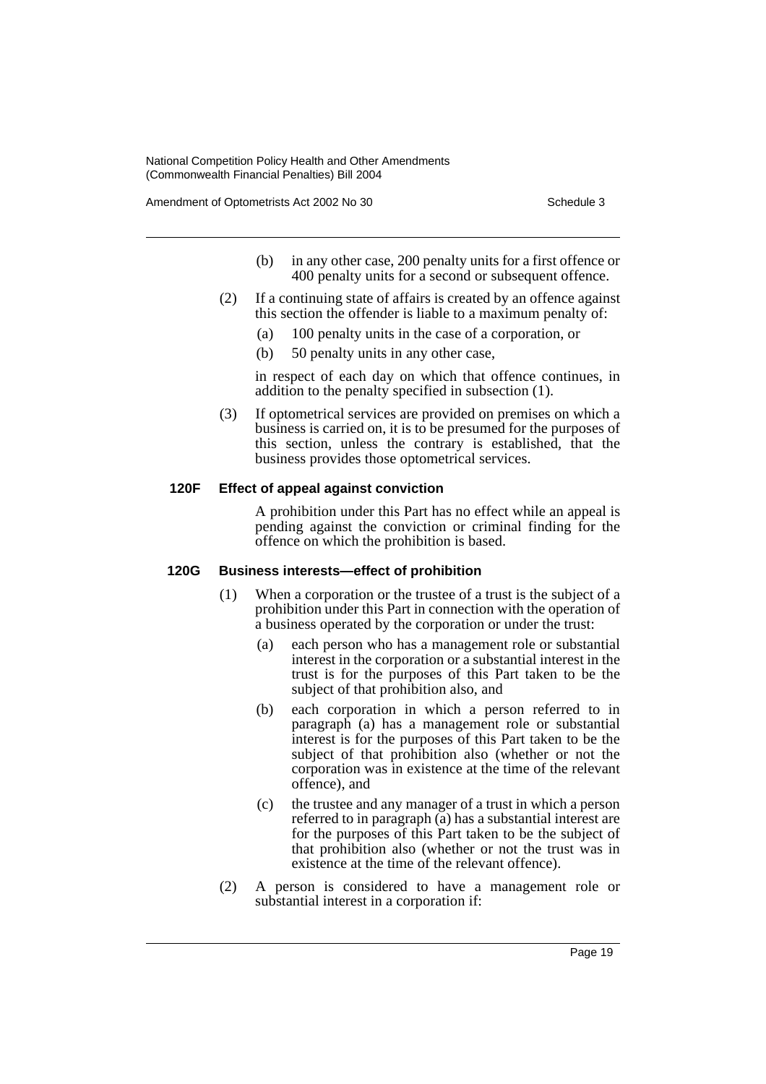Amendment of Optometrists Act 2002 No 30 Schedule 3

- (b) in any other case, 200 penalty units for a first offence or 400 penalty units for a second or subsequent offence.
- (2) If a continuing state of affairs is created by an offence against this section the offender is liable to a maximum penalty of:
	- (a) 100 penalty units in the case of a corporation, or
	- (b) 50 penalty units in any other case,

in respect of each day on which that offence continues, in addition to the penalty specified in subsection (1).

(3) If optometrical services are provided on premises on which a business is carried on, it is to be presumed for the purposes of this section, unless the contrary is established, that the business provides those optometrical services.

## **120F Effect of appeal against conviction**

A prohibition under this Part has no effect while an appeal is pending against the conviction or criminal finding for the offence on which the prohibition is based.

#### **120G Business interests—effect of prohibition**

- (1) When a corporation or the trustee of a trust is the subject of a prohibition under this Part in connection with the operation of a business operated by the corporation or under the trust:
	- (a) each person who has a management role or substantial interest in the corporation or a substantial interest in the trust is for the purposes of this Part taken to be the subject of that prohibition also, and
	- (b) each corporation in which a person referred to in paragraph (a) has a management role or substantial interest is for the purposes of this Part taken to be the subject of that prohibition also (whether or not the corporation was in existence at the time of the relevant offence), and
	- (c) the trustee and any manager of a trust in which a person referred to in paragraph (a) has a substantial interest are for the purposes of this Part taken to be the subject of that prohibition also (whether or not the trust was in existence at the time of the relevant offence).
- (2) A person is considered to have a management role or substantial interest in a corporation if: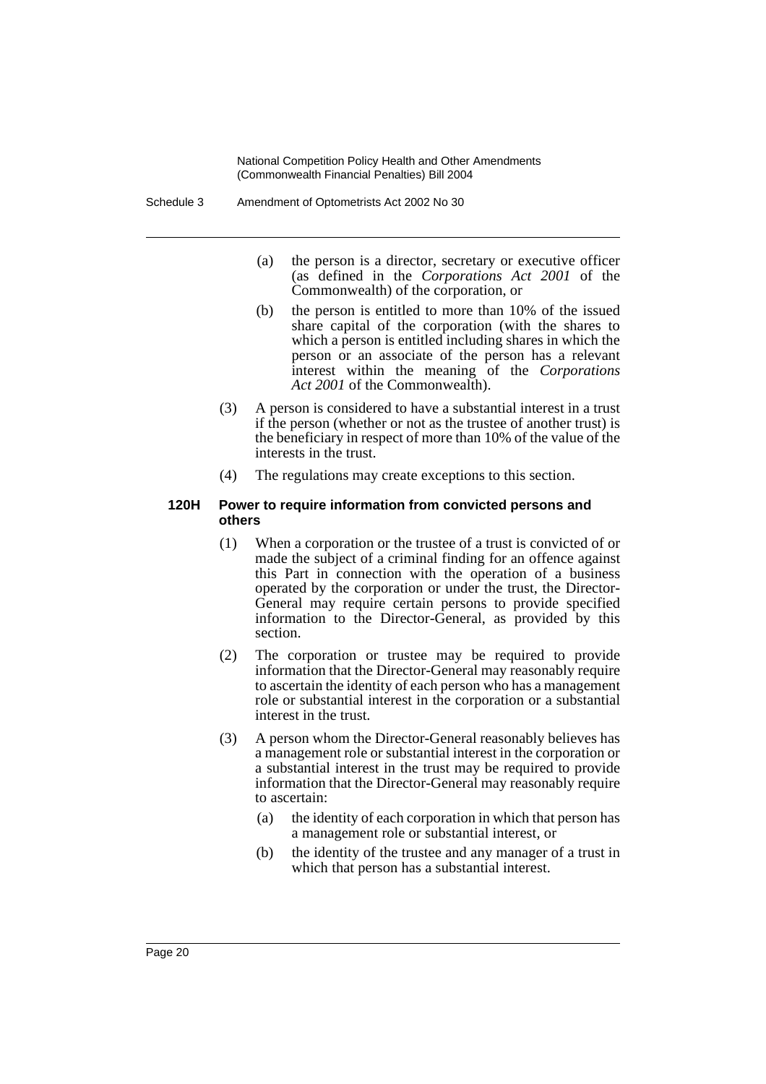- (a) the person is a director, secretary or executive officer (as defined in the *Corporations Act 2001* of the Commonwealth) of the corporation, or
- (b) the person is entitled to more than 10% of the issued share capital of the corporation (with the shares to which a person is entitled including shares in which the person or an associate of the person has a relevant interest within the meaning of the *Corporations Act 2001* of the Commonwealth).
- (3) A person is considered to have a substantial interest in a trust if the person (whether or not as the trustee of another trust) is the beneficiary in respect of more than 10% of the value of the interests in the trust.
- (4) The regulations may create exceptions to this section.

#### **120H Power to require information from convicted persons and others**

- (1) When a corporation or the trustee of a trust is convicted of or made the subject of a criminal finding for an offence against this Part in connection with the operation of a business operated by the corporation or under the trust, the Director-General may require certain persons to provide specified information to the Director-General, as provided by this section.
- (2) The corporation or trustee may be required to provide information that the Director-General may reasonably require to ascertain the identity of each person who has a management role or substantial interest in the corporation or a substantial interest in the trust.
- (3) A person whom the Director-General reasonably believes has a management role or substantial interest in the corporation or a substantial interest in the trust may be required to provide information that the Director-General may reasonably require to ascertain:
	- (a) the identity of each corporation in which that person has a management role or substantial interest, or
	- (b) the identity of the trustee and any manager of a trust in which that person has a substantial interest.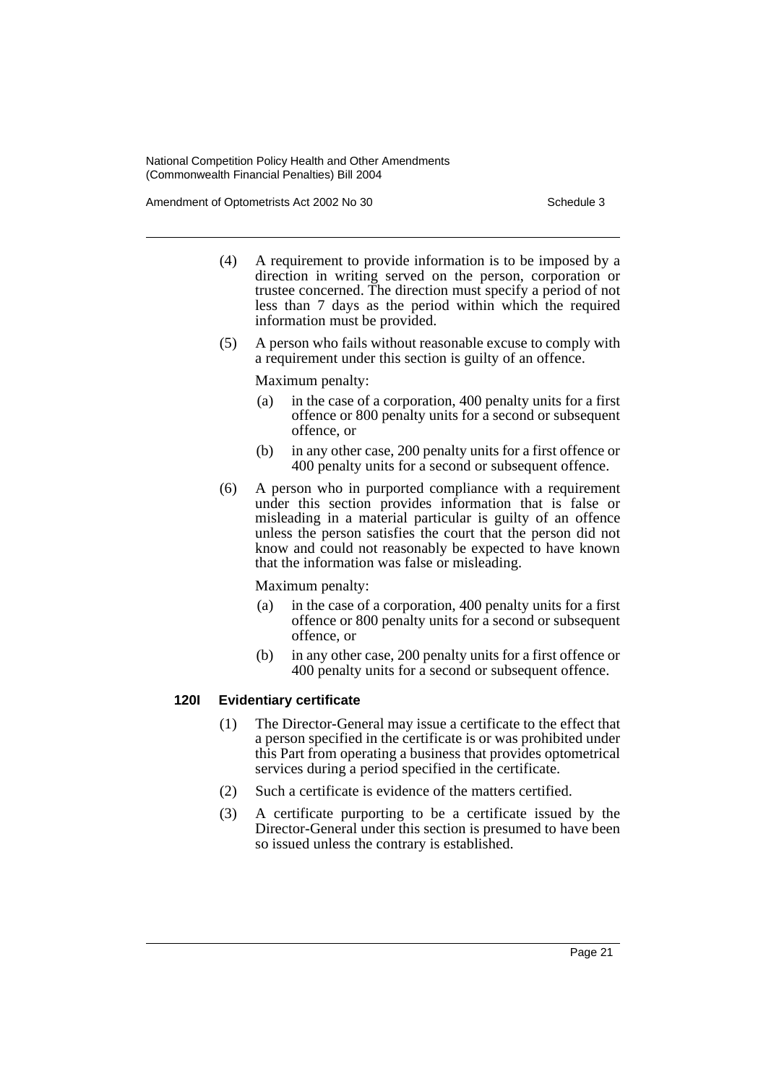Amendment of Optometrists Act 2002 No 30 Schedule 3

- (4) A requirement to provide information is to be imposed by a direction in writing served on the person, corporation or trustee concerned. The direction must specify a period of not less than 7 days as the period within which the required information must be provided.
- (5) A person who fails without reasonable excuse to comply with a requirement under this section is guilty of an offence.

Maximum penalty:

- (a) in the case of a corporation, 400 penalty units for a first offence or 800 penalty units for a second or subsequent offence, or
- (b) in any other case, 200 penalty units for a first offence or 400 penalty units for a second or subsequent offence.
- (6) A person who in purported compliance with a requirement under this section provides information that is false or misleading in a material particular is guilty of an offence unless the person satisfies the court that the person did not know and could not reasonably be expected to have known that the information was false or misleading.

Maximum penalty:

- (a) in the case of a corporation, 400 penalty units for a first offence or 800 penalty units for a second or subsequent offence, or
- (b) in any other case, 200 penalty units for a first offence or 400 penalty units for a second or subsequent offence.

## **120I Evidentiary certificate**

- (1) The Director-General may issue a certificate to the effect that a person specified in the certificate is or was prohibited under this Part from operating a business that provides optometrical services during a period specified in the certificate.
- (2) Such a certificate is evidence of the matters certified.
- (3) A certificate purporting to be a certificate issued by the Director-General under this section is presumed to have been so issued unless the contrary is established.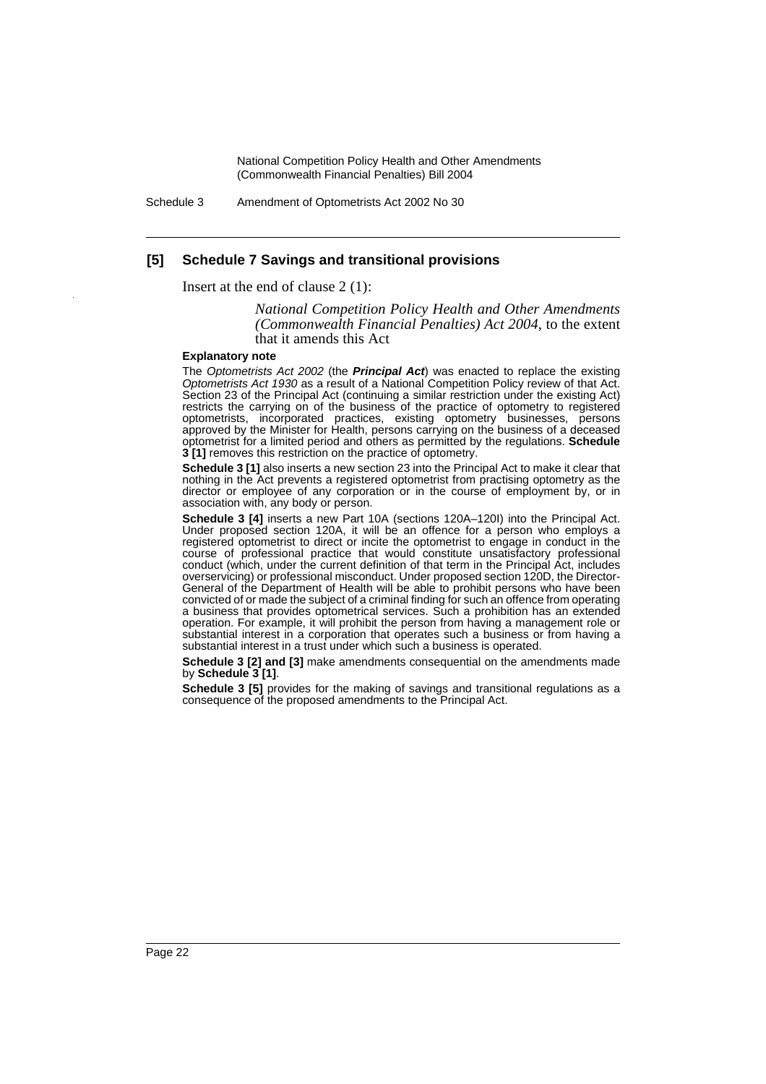Schedule 3 Amendment of Optometrists Act 2002 No 30

#### **[5] Schedule 7 Savings and transitional provisions**

Insert at the end of clause 2 (1):

*National Competition Policy Health and Other Amendments (Commonwealth Financial Penalties) Act 2004*, to the extent that it amends this Act

#### **Explanatory note**

The *Optometrists Act 2002* (the *Principal Act*) was enacted to replace the existing *Optometrists Act 1930* as a result of a National Competition Policy review of that Act. Section 23 of the Principal Act (continuing a similar restriction under the existing Act) restricts the carrying on of the business of the practice of optometry to registered optometrists, incorporated practices, existing optometry businesses, persons approved by the Minister for Health, persons carrying on the business of a deceased optometrist for a limited period and others as permitted by the regulations. **Schedule 3 [1]** removes this restriction on the practice of optometry.

**Schedule 3 [1]** also inserts a new section 23 into the Principal Act to make it clear that nothing in the Act prevents a registered optometrist from practising optometry as the director or employee of any corporation or in the course of employment by, or in association with, any body or person.

**Schedule 3 [4]** inserts a new Part 10A (sections 120A–120I) into the Principal Act. Under proposed section 120A, it will be an offence for a person who employs a registered optometrist to direct or incite the optometrist to engage in conduct in the course of professional practice that would constitute unsatisfactory professional conduct (which, under the current definition of that term in the Principal Act, includes overservicing) or professional misconduct. Under proposed section 120D, the Director-General of the Department of Health will be able to prohibit persons who have been convicted of or made the subject of a criminal finding for such an offence from operating a business that provides optometrical services. Such a prohibition has an extended operation. For example, it will prohibit the person from having a management role or substantial interest in a corporation that operates such a business or from having a substantial interest in a trust under which such a business is operated.

**Schedule 3 [2] and [3]** make amendments consequential on the amendments made by **Schedule 3 [1]**.

**Schedule 3 [5]** provides for the making of savings and transitional regulations as a consequence of the proposed amendments to the Principal Act.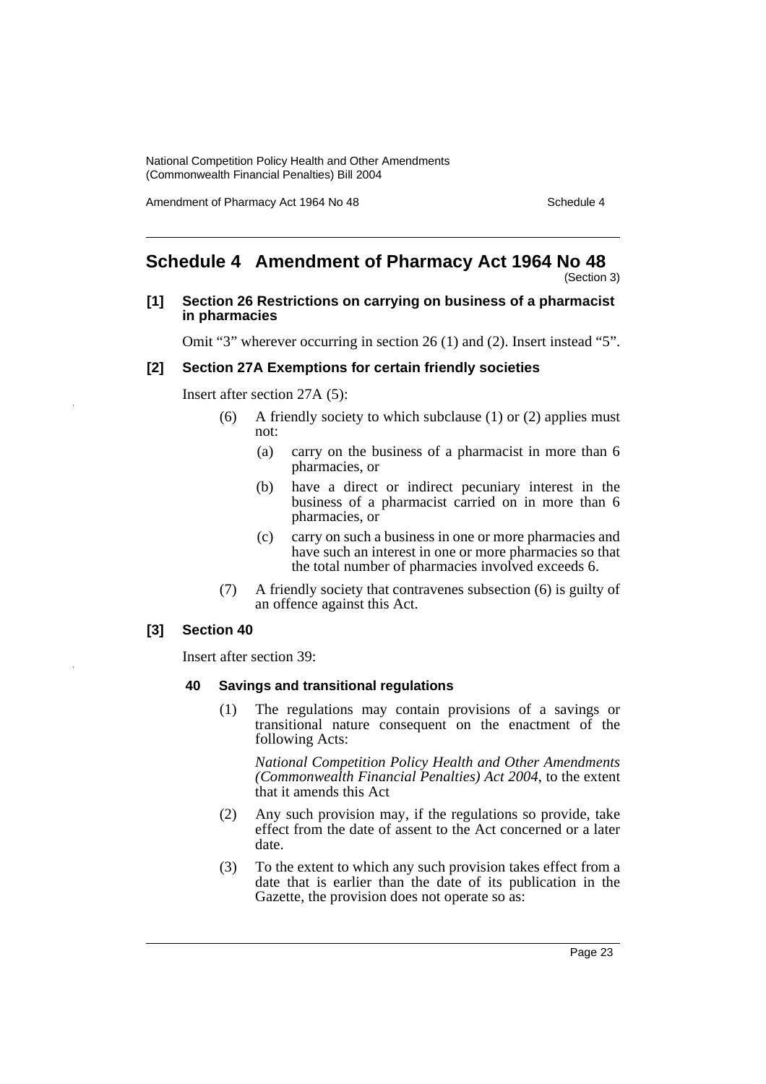Amendment of Pharmacy Act 1964 No 48 Schedule 4

# <span id="page-23-0"></span>**Schedule 4 Amendment of Pharmacy Act 1964 No 48**

(Section 3)

## **[1] Section 26 Restrictions on carrying on business of a pharmacist in pharmacies**

Omit "3" wherever occurring in section 26 (1) and (2). Insert instead "5".

### **[2] Section 27A Exemptions for certain friendly societies**

Insert after section 27A (5):

- (6) A friendly society to which subclause (1) or (2) applies must not:
	- (a) carry on the business of a pharmacist in more than 6 pharmacies, or
	- (b) have a direct or indirect pecuniary interest in the business of a pharmacist carried on in more than 6 pharmacies, or
	- (c) carry on such a business in one or more pharmacies and have such an interest in one or more pharmacies so that the total number of pharmacies involved exceeds 6.
- (7) A friendly society that contravenes subsection (6) is guilty of an offence against this Act.

#### **[3] Section 40**

Insert after section 39:

#### **40 Savings and transitional regulations**

(1) The regulations may contain provisions of a savings or transitional nature consequent on the enactment of the following Acts:

*National Competition Policy Health and Other Amendments (Commonwealth Financial Penalties) Act 2004*, to the extent that it amends this Act

- (2) Any such provision may, if the regulations so provide, take effect from the date of assent to the Act concerned or a later date.
- (3) To the extent to which any such provision takes effect from a date that is earlier than the date of its publication in the Gazette, the provision does not operate so as: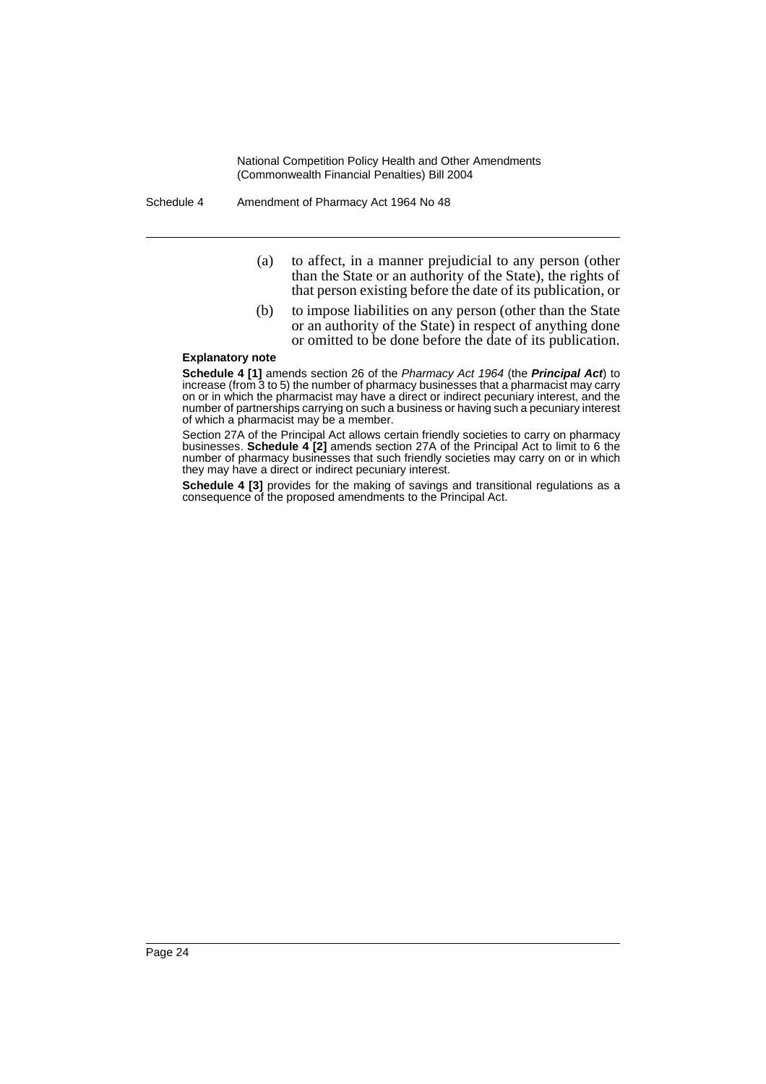Schedule 4 Amendment of Pharmacy Act 1964 No 48

- (a) to affect, in a manner prejudicial to any person (other than the State or an authority of the State), the rights of that person existing before the date of its publication, or
- (b) to impose liabilities on any person (other than the State or an authority of the State) in respect of anything done or omitted to be done before the date of its publication.

#### **Explanatory note**

**Schedule 4 [1]** amends section 26 of the *Pharmacy Act 1964* (the *Principal Act*) to increase (from 3 to 5) the number of pharmacy businesses that a pharmacist may carry on or in which the pharmacist may have a direct or indirect pecuniary interest, and the number of partnerships carrying on such a business or having such a pecuniary interest of which a pharmacist may be a member.

Section 27A of the Principal Act allows certain friendly societies to carry on pharmacy businesses. **Schedule 4 [2]** amends section 27A of the Principal Act to limit to 6 the number of pharmacy businesses that such friendly societies may carry on or in which they may have a direct or indirect pecuniary interest.

**Schedule 4 [3]** provides for the making of savings and transitional regulations as a consequence of the proposed amendments to the Principal Act.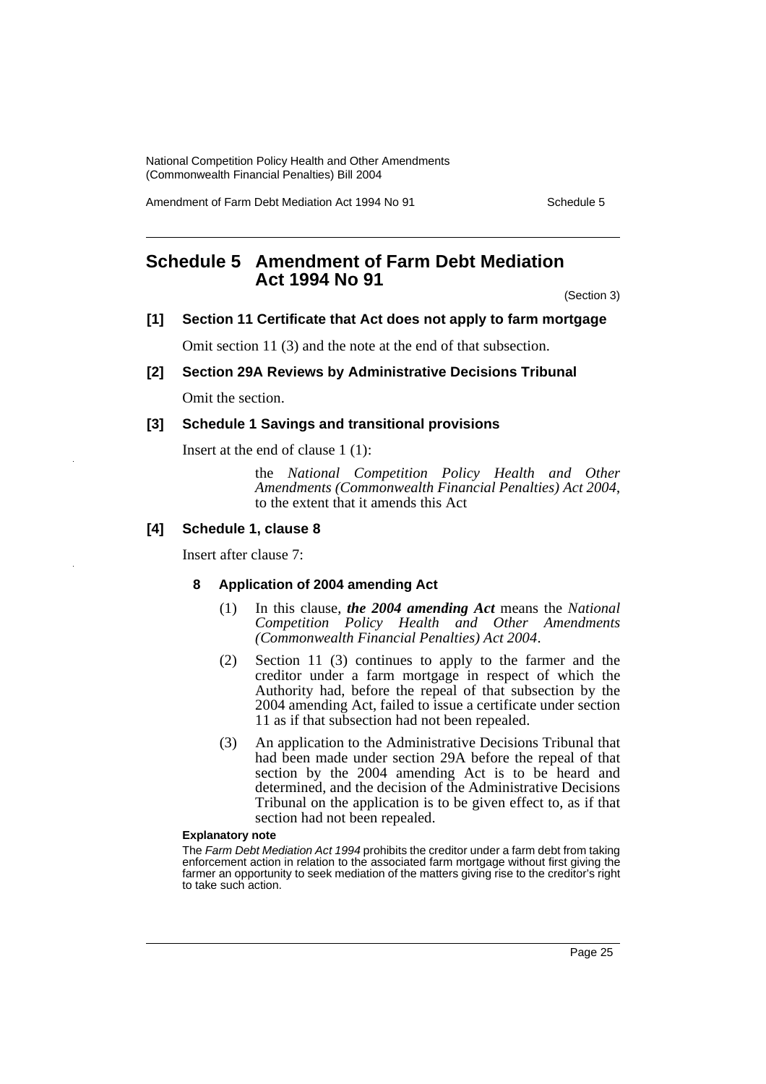Amendment of Farm Debt Mediation Act 1994 No 91 Schedule 5

# <span id="page-25-0"></span>**Schedule 5 Amendment of Farm Debt Mediation Act 1994 No 91**

(Section 3)

## **[1] Section 11 Certificate that Act does not apply to farm mortgage**

Omit section 11 (3) and the note at the end of that subsection.

### **[2] Section 29A Reviews by Administrative Decisions Tribunal**

Omit the section.

## **[3] Schedule 1 Savings and transitional provisions**

Insert at the end of clause 1 (1):

the *National Competition Policy Health and Other Amendments (Commonwealth Financial Penalties) Act 2004*, to the extent that it amends this Act

## **[4] Schedule 1, clause 8**

Insert after clause 7:

#### **8 Application of 2004 amending Act**

- (1) In this clause, *the 2004 amending Act* means the *National Competition Policy Health and Other Amendments (Commonwealth Financial Penalties) Act 2004*.
- (2) Section 11 (3) continues to apply to the farmer and the creditor under a farm mortgage in respect of which the Authority had, before the repeal of that subsection by the 2004 amending Act, failed to issue a certificate under section 11 as if that subsection had not been repealed.
- (3) An application to the Administrative Decisions Tribunal that had been made under section 29A before the repeal of that section by the 2004 amending Act is to be heard and determined, and the decision of the Administrative Decisions Tribunal on the application is to be given effect to, as if that section had not been repealed.

#### **Explanatory note**

The *Farm Debt Mediation Act 1994* prohibits the creditor under a farm debt from taking enforcement action in relation to the associated farm mortgage without first giving the farmer an opportunity to seek mediation of the matters giving rise to the creditor's right to take such action.